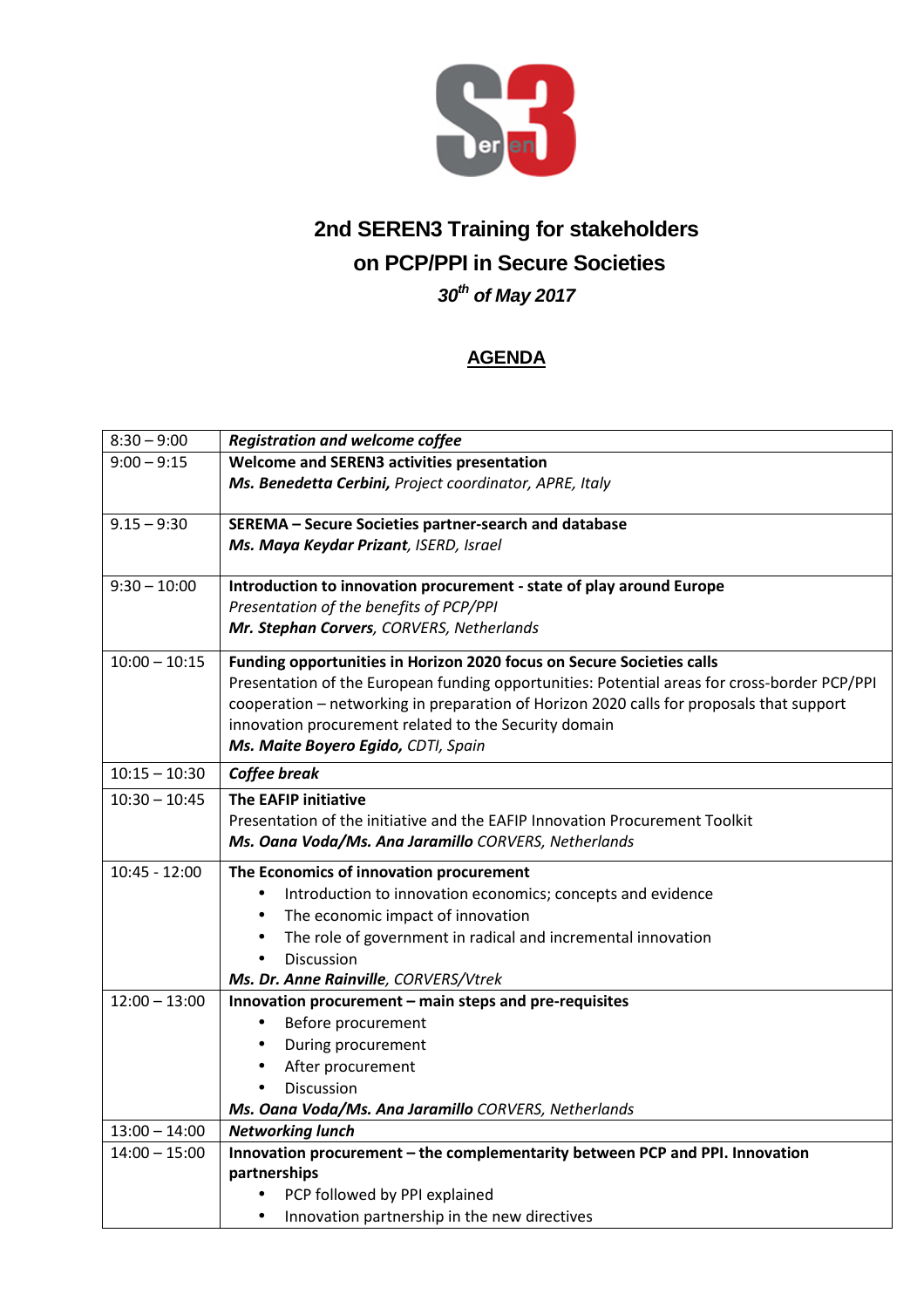

## **2nd SEREN3 Training for stakeholders on PCP/PPI in Secure Societies 30th of May 2017**

## **AGENDA**

| $8:30 - 9:00$   | <b>Registration and welcome coffee</b>                                                       |
|-----------------|----------------------------------------------------------------------------------------------|
| $9:00 - 9:15$   | <b>Welcome and SEREN3 activities presentation</b>                                            |
|                 | Ms. Benedetta Cerbini, Project coordinator, APRE, Italy                                      |
|                 |                                                                                              |
| $9.15 - 9:30$   | SEREMA - Secure Societies partner-search and database                                        |
|                 | Ms. Maya Keydar Prizant, ISERD, Israel                                                       |
| $9:30 - 10:00$  | Introduction to innovation procurement - state of play around Europe                         |
|                 | Presentation of the benefits of PCP/PPI                                                      |
|                 | Mr. Stephan Corvers, CORVERS, Netherlands                                                    |
| $10:00 - 10:15$ | Funding opportunities in Horizon 2020 focus on Secure Societies calls                        |
|                 | Presentation of the European funding opportunities: Potential areas for cross-border PCP/PPI |
|                 | cooperation - networking in preparation of Horizon 2020 calls for proposals that support     |
|                 | innovation procurement related to the Security domain                                        |
|                 | Ms. Maite Boyero Egido, CDTI, Spain                                                          |
| $10:15 - 10:30$ | Coffee break                                                                                 |
| $10:30 - 10:45$ | <b>The EAFIP initiative</b>                                                                  |
|                 | Presentation of the initiative and the EAFIP Innovation Procurement Toolkit                  |
|                 | Ms. Oana Voda/Ms. Ana Jaramillo CORVERS, Netherlands                                         |
| $10:45 - 12:00$ | The Economics of innovation procurement                                                      |
|                 | Introduction to innovation economics; concepts and evidence<br>$\bullet$                     |
|                 | The economic impact of innovation<br>$\bullet$                                               |
|                 | The role of government in radical and incremental innovation<br>$\bullet$                    |
|                 | <b>Discussion</b><br>$\bullet$                                                               |
|                 | Ms. Dr. Anne Rainville, CORVERS/Vtrek                                                        |
| $12:00 - 13:00$ | Innovation procurement - main steps and pre-requisites                                       |
|                 | Before procurement<br>$\bullet$                                                              |
|                 | During procurement<br>$\bullet$                                                              |
|                 | After procurement<br>$\bullet$                                                               |
|                 | <b>Discussion</b><br>$\bullet$                                                               |
|                 | Ms. Oana Voda/Ms. Ana Jaramillo CORVERS, Netherlands                                         |
| $13:00 - 14:00$ | <b>Networking lunch</b>                                                                      |
| $14:00 - 15:00$ | Innovation procurement - the complementarity between PCP and PPI. Innovation                 |
|                 | partnerships                                                                                 |
|                 | PCP followed by PPI explained                                                                |
|                 | Innovation partnership in the new directives<br>$\bullet$                                    |